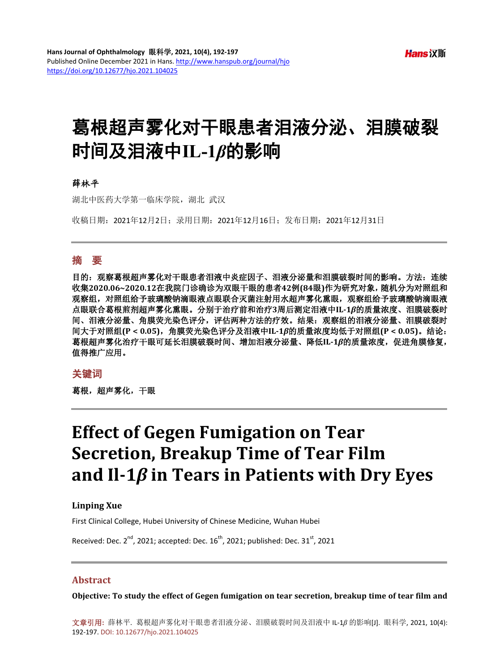# 葛根超声雾化对干眼患者泪液分泌、泪膜破裂 时间及泪液中**IL-1***β*的影响

#### 薛林平

湖北中医药大学第一临床学院,湖北 武汉

收稿日期:2021年12月2日;录用日期:2021年12月16日;发布日期:2021年12月31日

### 摘 要

目的:观察葛根超声雾化对干眼患者泪液中炎症因子、泪液分泌量和泪膜破裂时间的影响。方法:连续 收集**2020.06~2020.12**在我院门诊确诊为双眼干眼的患者**42**例**(84**眼**)**作为研究对象,随机分为对照组和 观察组,对照组给予玻璃酸钠滴眼液点眼联合灭菌注射用水超声雾化熏眼,观察组给予玻璃酸钠滴眼液 点眼联合葛根煎剂超声雾化熏眼。分别于治疗前和治疗**3**周后测定泪液中**IL-1***β*的质量浓度、泪膜破裂时 间、泪液分泌量、角膜荧光染色评分,评估两种方法的疗效。结果:观察组的泪液分泌量、泪膜破裂时 间大于对照组**(P < 0.05)**,角膜荧光染色评分及泪液中**IL-1***β*的质量浓度均低于对照组**(P < 0.05)**。结论: 葛根超声雾化治疗干眼可延长泪膜破裂时间、增加泪液分泌量、降低**IL-1***β*的质量浓度,促进角膜修复, 值得推广应用。

#### 关键词

葛根,超声雾化,干眼

# **Effect of Gegen Fumigation on Tear Secretion, Breakup Time of Tear Film and Il-1***β* **in Tears in Patients with Dry Eyes**

#### **Linping Xue**

First Clinical College, Hubei University of Chinese Medicine, Wuhan Hubei

Received: Dec. 2<sup>nd</sup>, 2021; accepted: Dec. 16<sup>th</sup>, 2021; published: Dec. 31<sup>st</sup>, 2021

#### **Abstract**

**Objective: To study the effect of Gegen fumigation on tear secretion, breakup time of tear film and**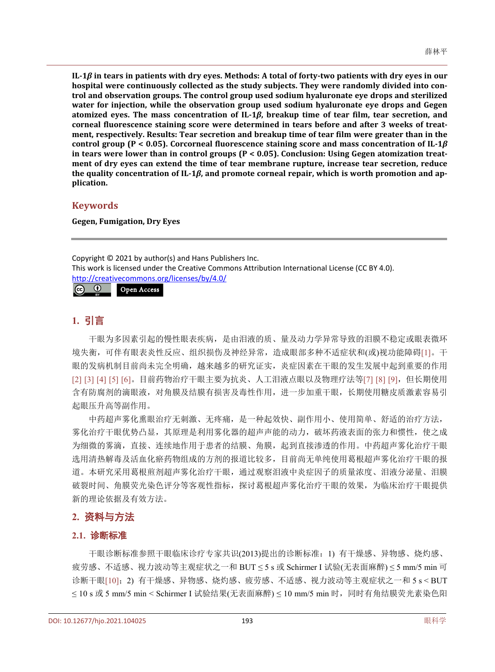**IL-1***β* **in tears in patients with dry eyes. Methods: A total of forty-two patients with dry eyes in our hospital were continuously collected as the study subjects. They were randomly divided into control and observation groups. The control group used sodium hyaluronate eye drops and sterilized water for injection, while the observation group used sodium hyaluronate eye drops and Gegen atomized eyes. The mass concentration of IL-1***β***, breakup time of tear film, tear secretion, and corneal fluorescence staining score were determined in tears before and after 3 weeks of treatment, respectively. Results: Tear secretion and breakup time of tear film were greater than in the control group (P < 0.05). Corcorneal fluorescence staining score and mass concentration of IL-1***β* **in tears were lower than in control groups (P < 0.05). Conclusion: Using Gegen atomization treatment of dry eyes can extend the time of tear membrane rupture, increase tear secretion, reduce the quality concentration of IL-1***β***, and promote corneal repair, which is worth promotion and application.**

#### **Keywords**

**Gegen, Fumigation, Dry Eyes**

Copyright © 2021 by author(s) and Hans Publishers Inc. This work is licensed under the Creative Commons Attribution International License (CC BY 4.0). <http://creativecommons.org/licenses/by/4.0/>  $\omega$  (can be  $\omega$ ) Open Access

## **1.** 引言

干眼为多因素引起的慢性眼表疾病,是由泪液的质、量及动力学异常导致的泪膜不稳定或眼表微环 境失衡,可伴有眼表炎性反应、组织损伤及神经异常,造成眼部多种不适症状和(或)视功能障碍[\[1\]](#page-4-0)。干 眼的发病机制目前尚未完全明确,越来越多的研究证实,炎症因素在干眼的发生发展中起到重要的作用 [\[2\]](#page-4-1) [\[3\]](#page-4-2) [\[4\]](#page-4-3) [\[5\]](#page-4-4) [\[6\]](#page-4-5)。目前药物治疗干眼主要为抗炎、人工泪液点眼以及物理疗法等[\[7\]](#page-4-6) [\[8\]](#page-4-7) [\[9\]](#page-4-8), 但长期使用 含有防腐剂的滴眼液,对角膜及结膜有损害及毒性作用,进一步加重干眼,长期使用糖皮质激素容易引 起眼压升高等副作用。

中药超声雾化熏眼治疗无刺激、无疼痛,是一种起效快、副作用小、使用简单、舒适的治疗方法, 雾化治疗干眼优势凸显,其原理是利用雾化器的超声声能的动力,破坏药液表面的张力和惯性,使之成 为细微的雾滴,直接、连续地作用于患者的结膜、角膜,起到直接渗透的作用。中药超声雾化治疗干眼 选用清热解毒及活血化瘀药物组成的方剂的报道比较多,目前尚无单纯使用葛根超声雾化治疗干眼的报 道。本研究采用葛根煎剂超声雾化治疗干眼,通过观察泪液中炎症因子的质量浓度、泪液分泌量、泪膜 破裂时间、角膜荧光染色评分等客观性指标,探讨葛根超声雾化治疗干眼的效果,为临床治疗干眼提供 新的理论依据及有效方法。

## **2.** 资料与方法

#### **2.1.** 诊断标准

干眼诊断标准参照干眼临床诊疗专家共识(2013)提出的诊断标准:1) 有干燥感、异物感、烧灼感、 疲劳感、不适感、视力波动等主观症状之一和 BUT ≤ 5 s 或 Schirmer I 试验(无表面麻醉) ≤ 5 mm/5 min 可 诊断干眼[\[10\]](#page-5-0);2) 有干燥感、异物感、烧灼感、疲劳感、不适感、视力波动等主观症状之一和 5 s < BUT ≤ 10 s 或 5 mm/5 min < Schirmer I 试验结果(无表面麻醉) ≤ 10 mm/5 min 时,同时有角结膜荧光素染色阳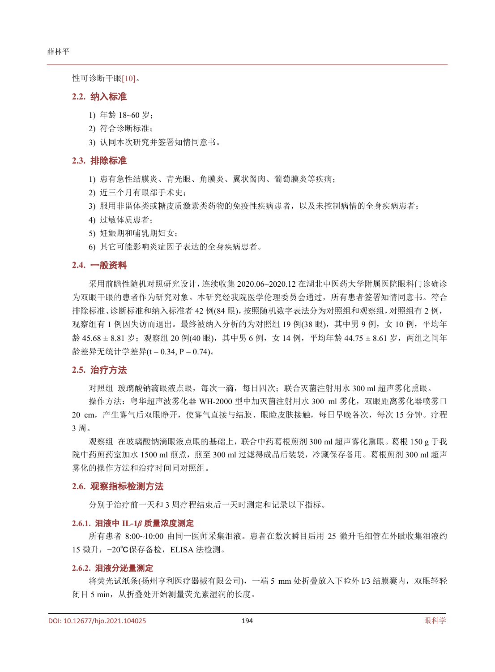性可诊断干眼[\[10\]](#page-5-0)。

#### **2.2.** 纳入标准

- 1) 年龄 18~60 岁;
- 2) 符合诊断标准;
- 3) 认同本次研究并签署知情同意书。

#### **2.3.** 排除标准

- 1) 患有急性结膜炎、青光眼、角膜炎、翼状胬肉、葡萄膜炎等疾病;
- 2) 近三个月有眼部手术史;
- 3) 服用非甾体类或糖皮质激素类药物的免疫性疾病患者,以及未控制病情的全身疾病患者;
- 4) 过敏体质患者;
- 5) 妊娠期和哺乳期妇女;
- 6) 其它可能影响炎症因子表达的全身疾病患者。

#### **2.4.** 一般资料

采用前瞻性随机对照研究设计,连续收集 2020.06~2020.12 在湖北中医药大学附属医院眼科门诊确诊 为双眼干眼的患者作为研究对象。本研究经我院医学伦理委员会通过,所有患者签署知情同意书。符合 排除标准、诊断标准和纳入标准者 42 例(84 眼),按照随机数字表法分为对照组和观察组,对照组有 2 例, 观察组有 1 例因失访而退出。最终被纳入分析的为对照组 19 例(38 眼), 其中男 9 例, 女 10 例, 平均年 龄 45.68 ± 8.81 岁; 观察组 20 例(40 眼), 其中男 6 例, 女 14 例, 平均年龄 44.75 ± 8.61 岁, 两组之间年 龄差异无统计学差异(t = 0.34, P = 0.74)。

#### **2.5.** 治疗方法

对照组 玻璃酸钠滴眼液点眼,每次一滴,每日四次;联合灭菌注射用水 300 ml 超声雾化熏眼。

操作方法: 粤华超声波雾化器 WH-2000 型中加灭菌注射用水 300 ml 雾化, 双眼距离雾化器喷雾口 20 cm,产生雾气后双眼睁开,使雾气直接与结膜、眼睑皮肤接触,每日早晚各次,每次 15 分钟。疗程 3 周。

观察组 在玻璃酸钠滴眼液点眼的基础上,联合中药葛根煎剂 300 ml 超声雾化熏眼。葛根 150 g 于我 院中药煎药室加水 1500 ml 煎煮,煎至 300 ml 过滤得成品后装袋,冷藏保存备用。葛根煎剂 300 ml 超声 雾化的操作方法和治疗时间同对照组。

#### **2.6.** 观察指标检测方法

分别于治疗前一天和 3 周疗程结束后一天时测定和记录以下指标。

#### **2.6.1.** 泪液中 **IL-1***β* 质量浓度测定

所有患者 8:00~10:00 由同一医师采集泪液。患者在数次瞬目后用 25 微升毛细管在外眦收集泪液约 15 微升, -20℃保存备检, ELISA 法检测。

#### **2.6.2.** 泪液分泌量测定

将荧光试纸条(扬州亨利医疗器械有限公司),一端 5 mm 处折叠放入下睑外 l/3 结膜囊内, 双眼轻轻 闭目 5 min, 从折叠处开始测量荧光素湿润的长度。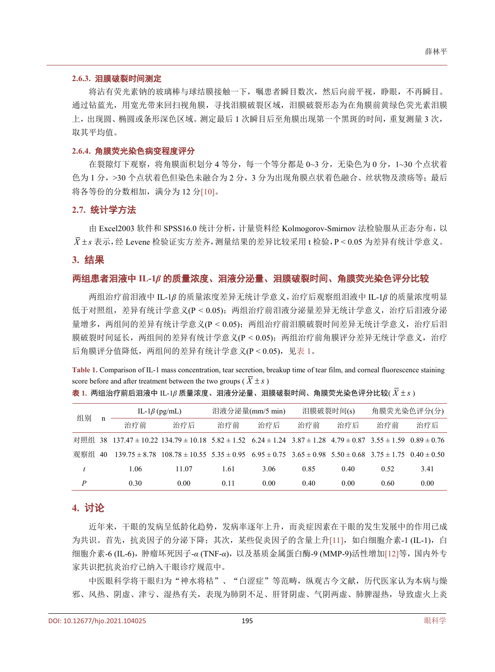#### **2.6.3.** 泪膜破裂时间测定

将沾有荧光素钠的玻璃棒与球结膜接触一下,嘱患者瞬目数次,然后向前平视,睁眼,不再瞬目。 通过钻蓝光,用宽光带来回扫视角膜,寻找泪膜破裂区域,泪膜破裂形态为在角膜前黄绿色荧光素泪膜 上,出现圆、椭圆或条形深色区域。测定最后 1 次瞬目后至角膜出现第一个黑斑的时间,重复测量 3 次, 取其平均值。

#### **2.6.4.** 角膜荧光染色病变程度评分

在裂隙灯下观察,将角膜面积划分 4 等分,每一个等分都是 0~3 分,无染色为 0 分, 1~30 个点状着 色为1分,>30个点状着色但染色未融合为2分,3分为出现角膜点状着色融合、丝状物及溃疡等;最后 将各等份的分数相加,满分为 12 分[\[10\]](#page-5-0)。

#### **2.7.** 统计学方法

由 Excel2003 软件和 SPSS16.0 统计分析, 计量资料经 Kolmogorov-Smirnov 法检验服从正态分布, 以  $\overline{X}$  ± s 表示, 经 Levene 检验证实方差齐, 测量结果的差异比较采用 t 检验, P < 0.05 为差异有统计学意义。

#### **3.** 结果

#### 两组患者泪液中 **IL-1***β* 的质量浓度、泪液分泌量、泪膜破裂时间、角膜荧光染色评分比较

两组治疗前泪液中 IL-1*β* 的质量浓度差异无统计学意义,治疗后观察组泪液中 IL-1*β* 的质量浓度明显 低于对照组,差异有统计学意义(P < 0.05);两组治疗前泪液分泌量差异无统计学意义,治疗后泪液分泌 量增多,两组间的差异有统计学意义(P < 0.05);两组治疗前泪膜破裂时间差异无统计学意义,治疗后泪 膜破裂时间延长,两组间的差异有统计学意义(P < 0.05);两组治疗前角膜评分差异无统计学意义,治疗 后角膜评分值降低,两组间的差异有统计学意义(P < 0.05),[见表](#page-3-0) 1。

<span id="page-3-0"></span>**Table 1.** Comparison of IL-1 mass concentration, tear secretion, breakup time of tear film, and corneal fluorescence staining score before and after treatment between the two groups ( $\overline{X} \pm s$ )

#### $\frac{1}{\sqrt{2\pi}}$  1. 两组治疗前后泪液中 IL-1 $\beta$  质量浓度、泪液分泌量、泪膜破裂时间、角膜荧光染色评分比较( $\bar{X}$ ± $s$ )

| 组别  | n  | IL-1 $\beta$ (pg/mL) |                                                                                                                                       | 泪液分泌量(mm/5 min) |      | 泪膜破裂时间(s) |      | 角膜荧光染色评分(分) |      |
|-----|----|----------------------|---------------------------------------------------------------------------------------------------------------------------------------|-----------------|------|-----------|------|-------------|------|
|     |    | 治疗前                  | 治疗后                                                                                                                                   | 治疗前             | 治疗后  | 治疗前       | 治疗后  | 治疗前         | 治疗后  |
| 对照组 | 38 |                      | $137.47 \pm 10.22$ $134.79 \pm 10.18$ $5.82 \pm 1.52$ $6.24 \pm 1.24$ $3.87 \pm 1.28$ $4.79 \pm 0.87$ $3.55 \pm 1.59$ $0.89 \pm 0.76$ |                 |      |           |      |             |      |
| 观察组 | 40 |                      | $139.75 \pm 8.78$ $108.78 \pm 10.55$ $5.35 \pm 0.95$ $6.95 \pm 0.75$ $3.65 \pm 0.98$ $5.50 \pm 0.68$ $3.75 \pm 1.75$ $0.40 \pm 0.50$  |                 |      |           |      |             |      |
|     |    | 1.06                 | 11.07                                                                                                                                 | 1.61            | 3.06 | 0.85      | 0.40 | 0.52        | 3.41 |
| P   |    | 0.30                 | 0.00                                                                                                                                  | 0.11            | 0.00 | 0.40      | 0.00 | 0.60        | 0.00 |

## **4.** 讨论

近年来,干眼的发病呈低龄化趋势,发病率逐年上升,而炎症因素在干眼的发生发展中的作用已成 为共识。首先,抗炎因子的分泌下降;其次,某些促炎因子的含量上升[\[11\]](#page-5-1),如白细胞介素-1 (IL-1), 白 细胞介素-6 (IL-6),肿瘤坏死因子-*α* (TNF-*α*),以及基质金属蛋白酶-9 (MMP-9)活性增加[\[12\]](#page-5-2)等,国内外专 家共识把抗炎治疗已纳入干眼诊疗规范中。

中医眼科学将干眼归为"神水将枯"、"白涩症"等范畴,纵观古今文献,历代医家认为本病与燥 邪、风热、阴虚、津亏、湿热有关,表现为肺阴不足、肝肾阴虚、气阴两虚、肺脾湿热,导致虚火上炎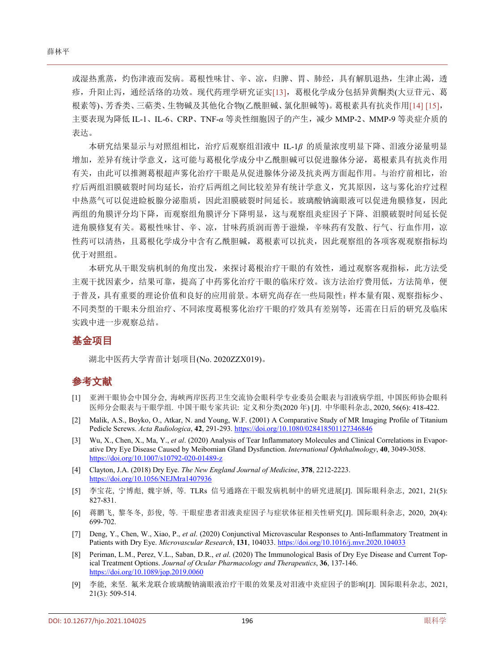或湿热熏蒸,灼伤津液而发病。葛根性味甘、辛、凉,归脾、胃、肺经,具有解肌退热,生津止渴,透 疹,升阳止泻,通经活络的功效。现代药理学研究证实[\[13\]](#page-5-3),葛根化学成分包括异黄酮类(大豆苷元、葛 根素等)、芳香类、三萜类、生物碱及其他化合物(乙酰胆碱、氯化胆碱等)。葛根素具有抗炎作用[\[14\]](#page-5-4) [\[15\]](#page-5-5), 主要表现为降低 IL-1、IL-6、CRP、TNF-*α* 等炎性细胞因子的产生,减少 MMP-2、MMP-9 等炎症介质的 表达。

本研究结果显示与对照组相比,治疗后观察组泪液中 IL-1*β* 的质量浓度明显下降、泪液分泌量明显 增加,差异有统计学意义,这可能与葛根化学成分中乙酰胆碱可以促进腺体分泌,葛根素具有抗炎作用 有关,由此可以推测葛根超声雾化治疗干眼是从促进腺体分泌及抗炎两方面起作用。与治疗前相比,治 疗后两组泪膜破裂时间均延长,治疗后两组之间比较差异有统计学意义,究其原因,这与雾化治疗过程 中热蒸气可以促进睑板腺分泌脂质,因此泪膜破裂时间延长。玻璃酸钠滴眼液可以促进角膜修复,因此 两组的角膜评分均下降,而观察组角膜评分下降明显,这与观察组炎症因子下降、泪膜破裂时间延长促 进角膜修复有关。葛根性味甘、辛、凉,甘味药质润而善于滋燥,辛味药有发散、行气、行血作用,凉 性药可以清热,且葛根化学成分中含有乙酰胆碱,葛根素可以抗炎,因此观察组的各项客观观察指标均 优于对照组。

本研究从干眼发病机制的角度出发,来探讨葛根治疗干眼的有效性,通过观察客观指标,此方法受 主观干扰因素少,结果可靠,提高了中药雾化治疗干眼的临床疗效。该方法治疗费用低,方法简单,便 于普及,具有重要的理论价值和良好的应用前景。本研究尚存在一些局限性:样本量有限、观察指标少、 不同类型的干眼未分组治疗、不同浓度葛根雾化治疗干眼的疗效具有差别等,还需在日后的研究及临床 实践中进一步观察总结。

## 基金项目

湖北中医药大学青苗计划项目(No. 2020ZZX019)。

## 参考文献

- <span id="page-4-0"></span>[1] 亚洲干眼协会中国分会, 海峡两岸医药卫生交流协会眼科学专业委员会眼表与泪液病学组, 中国医师协会眼科 医师分会眼表与干眼学组. 中国干眼专家共识: 定义和分类(2020 年) [J]. 中华眼科杂志, 2020, 56(6): 418-422.
- <span id="page-4-1"></span>[2] Malik, A.S., Boyko, O., Atkar, N. and Young, W.F. (2001) A Comparative Study of MR Imaging Profile of Titanium Pedicle Screws. *Acta Radiologica*, **42**, 291-293. <https://doi.org/10.1080/028418501127346846>
- <span id="page-4-2"></span>[3] Wu, X., Chen, X., Ma, Y., *et al*. (2020) Analysis of Tear Inflammatory Molecules and Clinical Correlations in Evaporative Dry Eye Disease Caused by Meibomian Gland Dysfunction. *International Ophthalmology*, **40**, 3049-3058. <https://doi.org/10.1007/s10792-020-01489-z>
- <span id="page-4-3"></span>[4] Clayton, J.A. (2018) Dry Eye. *The New England Journal of Medicine*, **378**, 2212-2223. <https://doi.org/10.1056/NEJMra1407936>
- <span id="page-4-4"></span>[5] 李宝花, 宁博彪, 魏宇娇, 等. TLRs 信号通路在干眼发病机制中的研究进展[J]. 国际眼科杂志, 2021, 21(5): 827-831.
- <span id="page-4-5"></span>[6] 蒋鹏飞, 黎冬冬, 彭俊, 等. 干眼症患者泪液炎症因子与症状体征相关性研究[J]. 国际眼科杂志, 2020, 20(4): 699-702.
- <span id="page-4-6"></span>[7] Deng, Y., Chen, W., Xiao, P., *et al*. (2020) Conjunctival Microvascular Responses to Anti-Inflammatory Treatment in Patients with Dry Eye. *Microvascular Research*, **131**, 104033. <https://doi.org/10.1016/j.mvr.2020.104033>
- <span id="page-4-7"></span>[8] Periman, L.M., Perez, V.L., Saban, D.R., *et al*. (2020) The Immunological Basis of Dry Eye Disease and Current Topical Treatment Options. *Journal of Ocular Pharmacology and Therapeutics*, **36**, 137-146. <https://doi.org/10.1089/jop.2019.0060>
- <span id="page-4-8"></span>[9] 李能, 来坚. 氟米龙联合玻璃酸钠滴眼液治疗干眼的效果及对泪液中炎症因子的影响[J]. 国际眼科杂志, 2021, 21(3): 509-514.